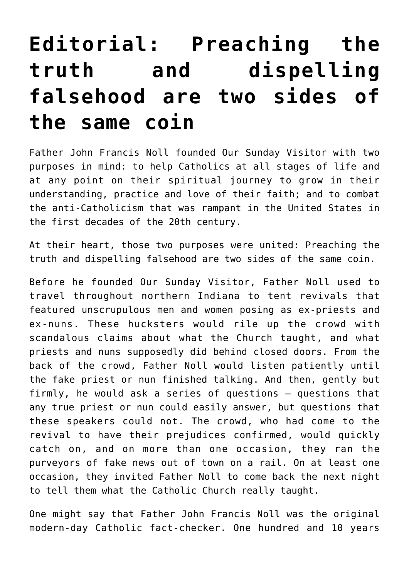## **[Editorial: Preaching the](https://www.osvnews.com/2022/01/18/editorial-preaching-the-truth-and-dispelling-falsehood-are-two-sides-of-the-same-coin/) [truth and dispelling](https://www.osvnews.com/2022/01/18/editorial-preaching-the-truth-and-dispelling-falsehood-are-two-sides-of-the-same-coin/) [falsehood are two sides of](https://www.osvnews.com/2022/01/18/editorial-preaching-the-truth-and-dispelling-falsehood-are-two-sides-of-the-same-coin/) [the same coin](https://www.osvnews.com/2022/01/18/editorial-preaching-the-truth-and-dispelling-falsehood-are-two-sides-of-the-same-coin/)**

Father John Francis Noll founded Our Sunday Visitor with two purposes in mind: to help Catholics at all stages of life and at any point on their spiritual journey to grow in their understanding, practice and love of their faith; and to combat the anti-Catholicism that was rampant in the United States in the first decades of the 20th century.

At their heart, those two purposes were united: Preaching the truth and dispelling falsehood are two sides of the same coin.

Before he founded Our Sunday Visitor, Father Noll used to travel throughout northern Indiana to tent revivals that featured unscrupulous men and women posing as ex-priests and ex-nuns. These hucksters would rile up the crowd with scandalous claims about what the Church taught, and what priests and nuns supposedly did behind closed doors. From the back of the crowd, Father Noll would listen patiently until the fake priest or nun finished talking. And then, gently but firmly, he would ask a series of questions — questions that any true priest or nun could easily answer, but questions that these speakers could not. The crowd, who had come to the revival to have their prejudices confirmed, would quickly catch on, and on more than one occasion, they ran the purveyors of fake news out of town on a rail. On at least one occasion, they invited Father Noll to come back the next night to tell them what the Catholic Church really taught.

One might say that Father John Francis Noll was the original modern-day Catholic fact-checker. One hundred and 10 years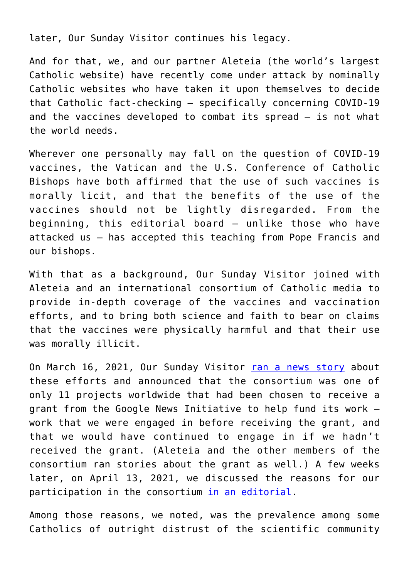later, Our Sunday Visitor continues his legacy.

And for that, we, and our partner Aleteia (the world's largest Catholic website) have recently come under attack by nominally Catholic websites who have taken it upon themselves to decide that Catholic fact-checking — specifically concerning COVID-19 and the vaccines developed to combat its spread — is not what the world needs.

Wherever one personally may fall on the question of COVID-19 vaccines, the Vatican and the U.S. Conference of Catholic Bishops have both affirmed that the use of such vaccines is morally licit, and that the benefits of the use of the vaccines should not be lightly disregarded. From the beginning, this editorial board — unlike those who have attacked us — has accepted this teaching from Pope Francis and our bishops.

With that as a background, Our Sunday Visitor joined with Aleteia and an international consortium of Catholic media to provide in-depth coverage of the vaccines and vaccination efforts, and to bring both science and faith to bear on claims that the vaccines were physically harmful and that their use was morally illicit.

On March 16, 2021, Our Sunday Visitor [ran a news story](https://www.osvnews.com/2021/03/16/osv-joins-other-catholic-media-outlets-to-educate-the-faithful-about-covid-19-vaccines/) about these efforts and announced that the consortium was one of only 11 projects worldwide that had been chosen to receive a grant from the Google News Initiative to help fund its work work that we were engaged in before receiving the grant, and that we would have continued to engage in if we hadn't received the grant. (Aleteia and the other members of the consortium ran stories about the grant as well.) A few weeks later, on April 13, 2021, we discussed the reasons for our participation in the consortium [in an editorial](https://www.osvnews.com/2021/04/13/editorial-a-mission-to-help-clarify-vaccination-misinformation/).

Among those reasons, we noted, was the prevalence among some Catholics of outright distrust of the scientific community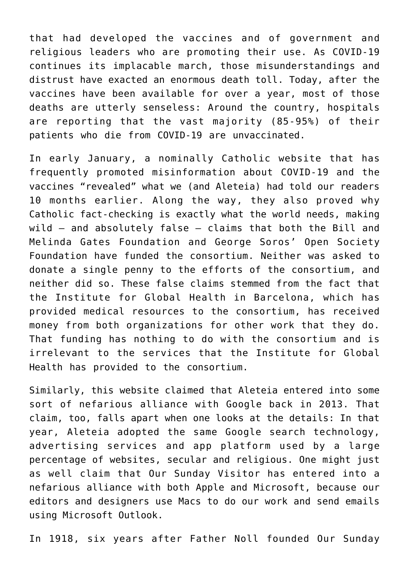that had developed the vaccines and of government and religious leaders who are promoting their use. As COVID-19 continues its implacable march, those misunderstandings and distrust have exacted an enormous death toll. Today, after the vaccines have been available for over a year, most of those deaths are utterly senseless: Around the country, hospitals are reporting that the vast majority (85-95%) of their patients who die from COVID-19 are unvaccinated.

In early January, a nominally Catholic website that has frequently promoted misinformation about COVID-19 and the vaccines "revealed" what we (and Aleteia) had told our readers 10 months earlier. Along the way, they also proved why Catholic fact-checking is exactly what the world needs, making wild — and absolutely false — claims that both the Bill and Melinda Gates Foundation and George Soros' Open Society Foundation have funded the consortium. Neither was asked to donate a single penny to the efforts of the consortium, and neither did so. These false claims stemmed from the fact that the Institute for Global Health in Barcelona, which has provided medical resources to the consortium, has received money from both organizations for other work that they do. That funding has nothing to do with the consortium and is irrelevant to the services that the Institute for Global Health has provided to the consortium.

Similarly, this website claimed that Aleteia entered into some sort of nefarious alliance with Google back in 2013. That claim, too, falls apart when one looks at the details: In that year, Aleteia adopted the same Google search technology, advertising services and app platform used by a large percentage of websites, secular and religious. One might just as well claim that Our Sunday Visitor has entered into a nefarious alliance with both Apple and Microsoft, because our editors and designers use Macs to do our work and send emails using Microsoft Outlook.

In 1918, six years after Father Noll founded Our Sunday